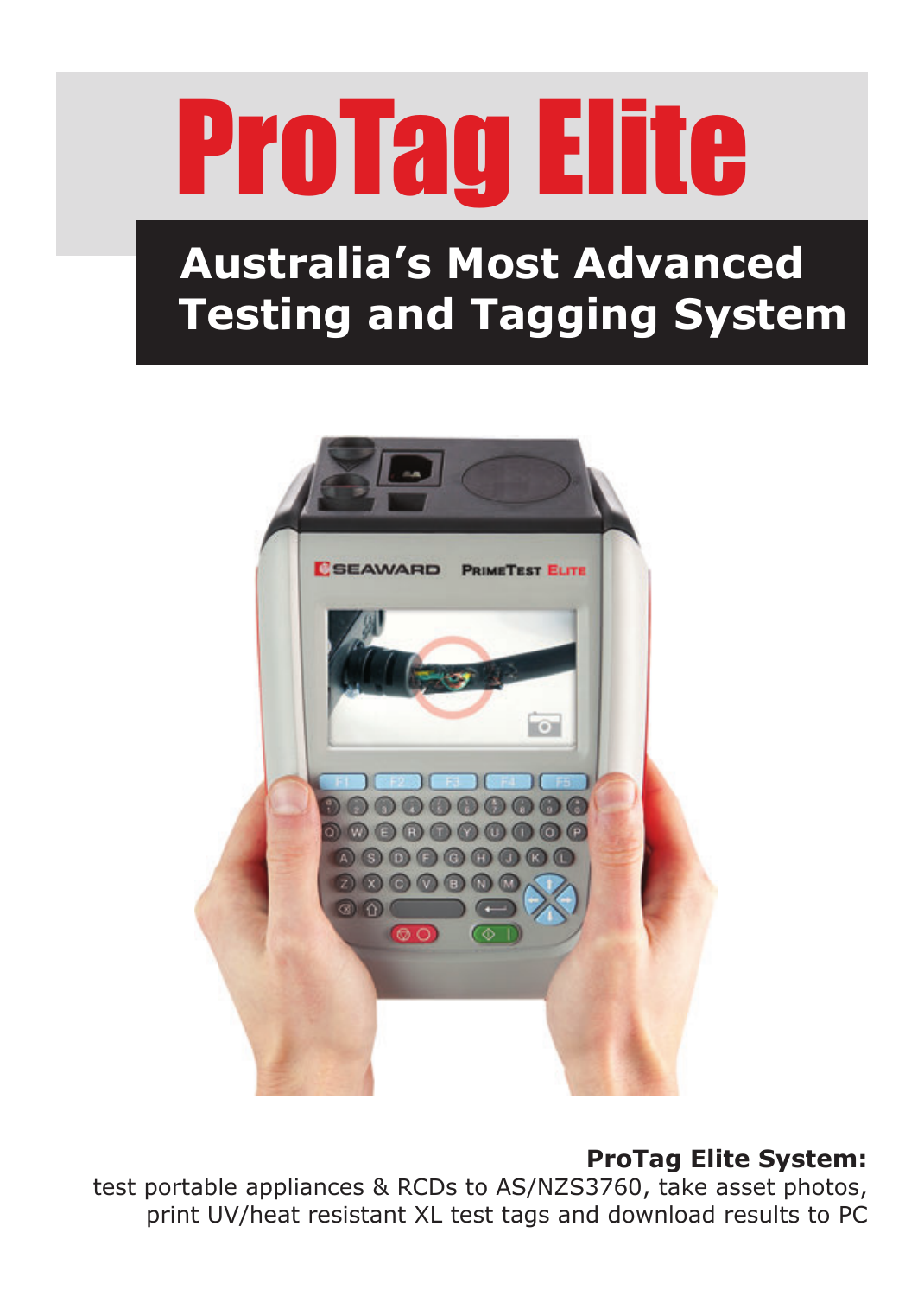

# **Australia's Most Advanced Testing and Tagging System**



#### **ProTag Elite System:**

test portable appliances & RCDs to AS/NZS3760, take asset photos, print UV/heat resistant XL test tags and download results to PC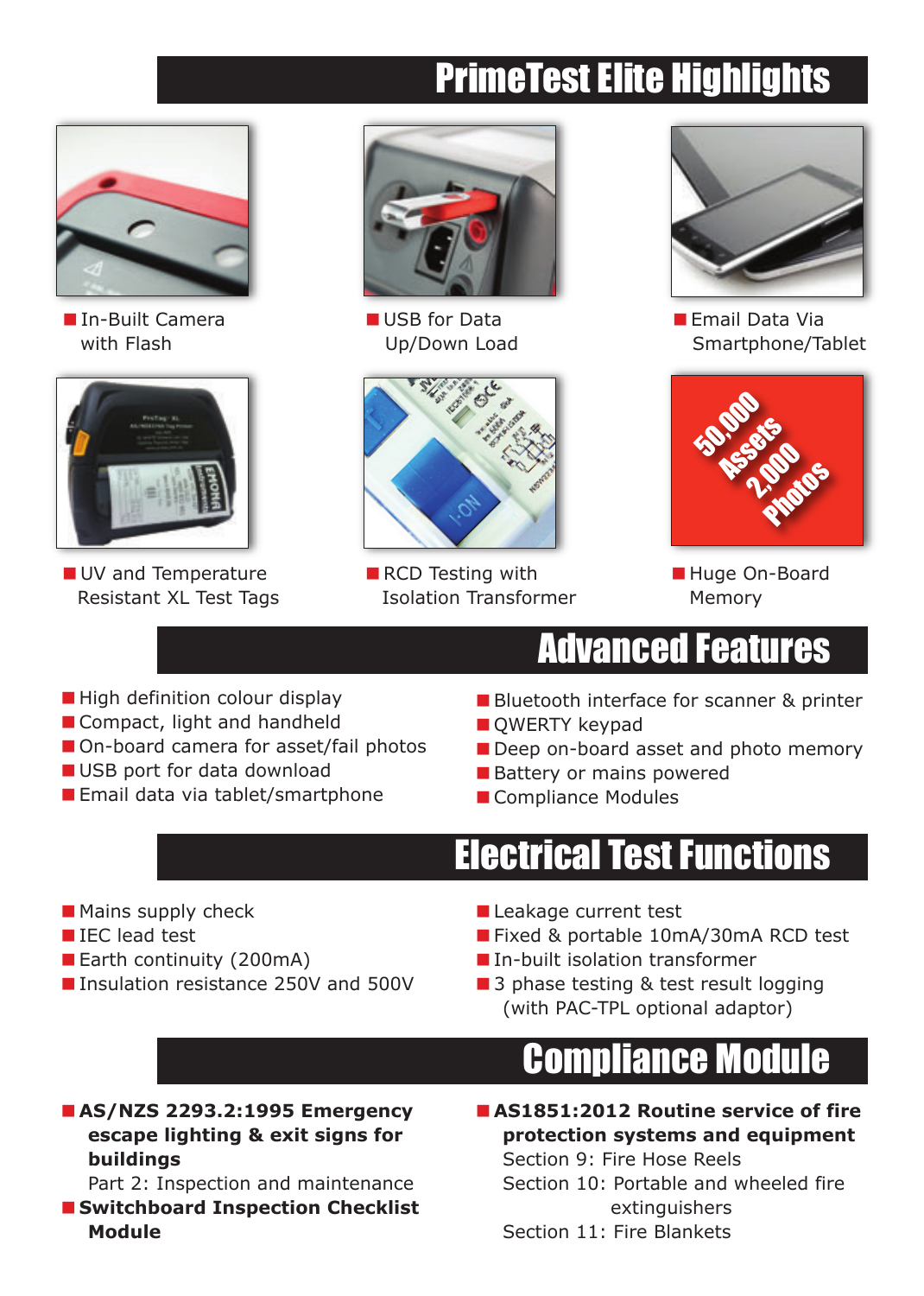# PrimeTest Elite Highlights



■ In-Built Camera with Flash



UV and Temperature Resistant XL Test Tags



USB for Data Up/Down Load



 $\blacksquare$  RCD Testing with Isolation Transformer



**Email Data Via** Smartphone/Tablet



Huge On-Board Memory

## Advanced Features

- $\blacksquare$  High definition colour display
- Compact, light and handheld
- On-board camera for asset/fail photos
- USB port for data download
- Email data via tablet/smartphone
- **Bluetooth interface for scanner & printer**
- **QWERTY keypad**
- Deep on-board asset and photo memory
- Battery or mains powered
- Compliance Modules

## Electrical Test Functions

- $\blacksquare$  Mains supply check
- IEC lead test
- Earth continuity (200mA)
- Insulation resistance 250V and 500V
- Leakage current test
- Fixed & portable 10mA/30mA RCD test
- **In-built isolation transformer**
- 3 phase testing & test result logging (with PAC-TPL optional adaptor)

# Compliance Module

■ AS/NZS 2293.2:1995 Emergency **escape lighting & exit signs for buildings**

Part 2: Inspection and maintenance

■ Switchboard Inspection Checklist **Module**

#### <**AS1851:2012 Routine service of fire protection systems and equipment** Section 9: Fire Hose Reels

Section 10: Portable and wheeled fire extinguishers

Section 11: Fire Blankets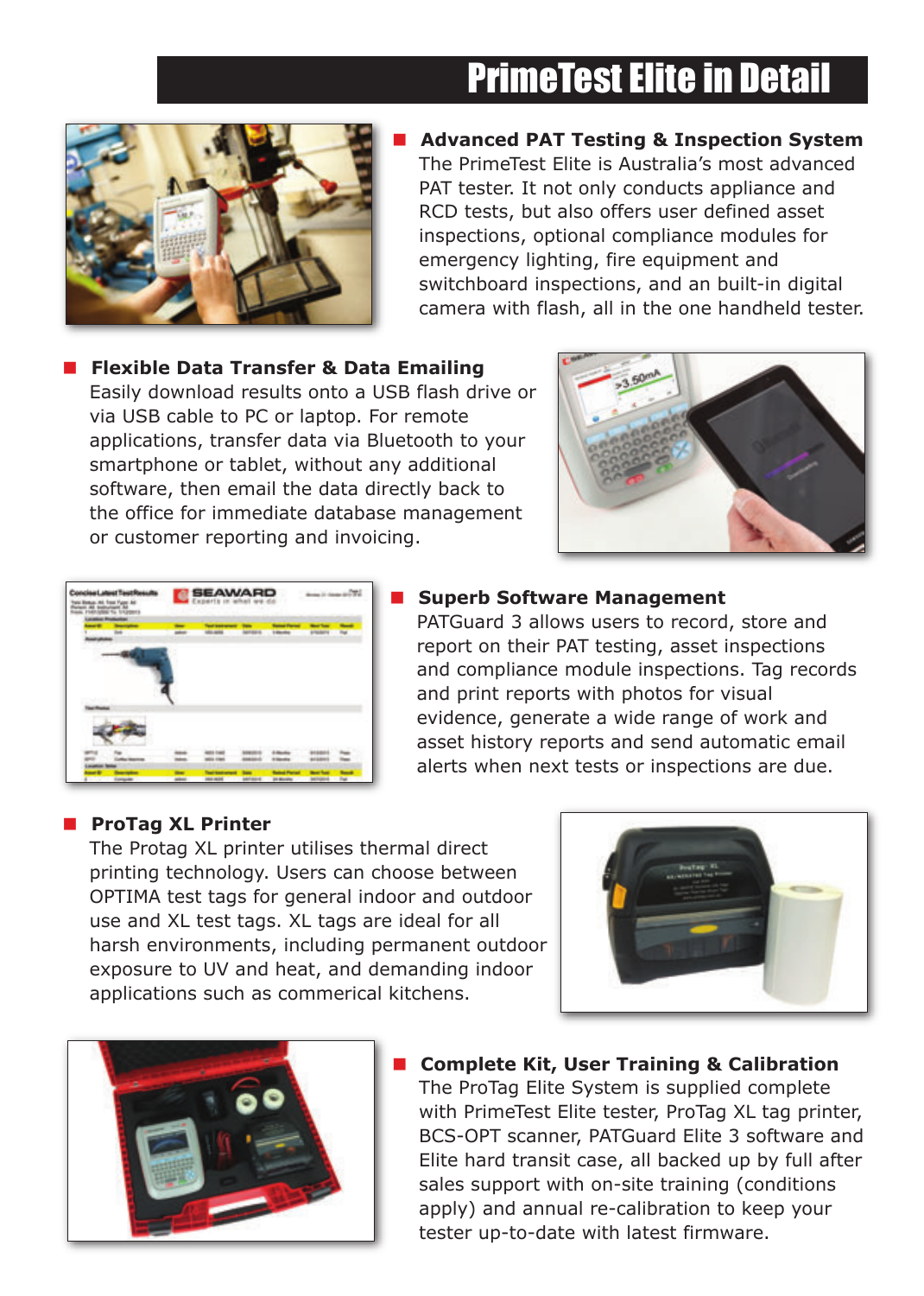## PrimeTest Elite in Detail



< **Advanced PAT Testing & Inspection System** The PrimeTest Elite is Australia's most advanced PAT tester. It not only conducts appliance and RCD tests, but also offers user defined asset inspections, optional compliance modules for emergency lighting, fire equipment and switchboard inspections, and an built-in digital camera with flash, all in the one handheld tester.

■ Flexible Data Transfer & Data Emailing Easily download results onto a USB flash drive or via USB cable to PC or laptop. For remote applications, transfer data via Bluetooth to your smartphone or tablet, without any additional software, then email the data directly back to the office for immediate database management or customer reporting and invoicing.





#### < **Superb Software Management**

PATGuard 3 allows users to record, store and report on their PAT testing, asset inspections and compliance module inspections. Tag records and print reports with photos for visual evidence, generate a wide range of work and asset history reports and send automatic email alerts when next tests or inspections are due.

#### **ProTag XL Printer**

The Protag XL printer utilises thermal direct printing technology. Users can choose between OPTIMA test tags for general indoor and outdoor use and XL test tags. XL tags are ideal for all harsh environments, including permanent outdoor exposure to UV and heat, and demanding indoor applications such as commerical kitchens.





#### < **Complete Kit, User Training & Calibration**

The ProTag Elite System is supplied complete with PrimeTest Elite tester, ProTag XL tag printer, BCS-OPT scanner, PATGuard Elite 3 software and Elite hard transit case, all backed up by full after sales support with on-site training (conditions apply) and annual re-calibration to keep your tester up-to-date with latest firmware.